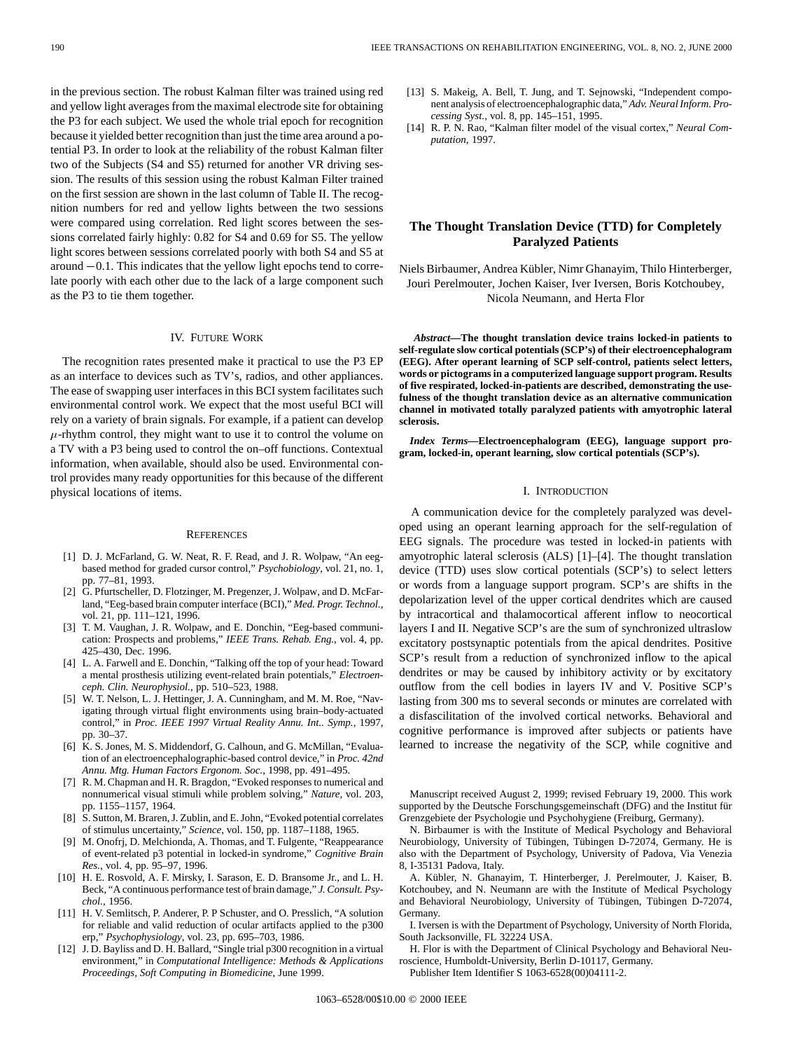in the previous section. The robust Kalman filter was trained using red and yellow light averages from the maximal electrode site for obtaining the P3 for each subject. We used the whole trial epoch for recognition because it yielded better recognition than just the time area around a potential P3. In order to look at the reliability of the robust Kalman filter two of the Subjects (S4 and S5) returned for another VR driving session. The results of this session using the robust Kalman Filter trained on the first session are shown in the last column of Table II. The recognition numbers for red and yellow lights between the two sessions were compared using correlation. Red light scores between the ses-<br>sions correlated fairly highly: 0.82 for S4 and 0.69 for S5. The yellow<br>light scores between sessions correlated poorly with both S4 and S5 at<br>around  $-0.1$ sions correlated fairly highly: 0.82 for S4 and 0.69 for S5. The yellow light scores between sessions correlated poorly with both S4 and S5 at late poorly with each other due to the lack of a large component such as the P3 to tie them together.

# IV. FUTURE WORK

The recognition rates presented make it practical to use the P3 EP as an interface to devices such as TV's, radios, and other appliances. The ease of swapping user interfaces in this BCI system facilitates such environmental control work. We expect that the most useful BCI will rely on a variety of brain signals. For example, if a patient can develop  $\mu$ -rhythm control, they might want to use it to control the volume on a TV with a P3 being used to control the on–off functions. Contextual information, when available, should also be used. Environmental control provides many ready opportunities for this because of the different physical locations of items.

#### **REFERENCES**

- [1] D. J. McFarland, G. W. Neat, R. F. Read, and J. R. Wolpaw, "An eegbased method for graded cursor control," *Psychobiology*, vol. 21, no. 1, pp. 77–81, 1993.
- [2] G. Pfurtscheller, D. Flotzinger, M. Pregenzer, J. Wolpaw, and D. McFarland, "Eeg-based brain computer interface (BCI)," *Med. Progr. Technol.*, vol. 21, pp. 111–121, 1996.
- [3] T. M. Vaughan, J. R. Wolpaw, and E. Donchin, "Eeg-based communication: Prospects and problems," *IEEE Trans. Rehab. Eng.*, vol. 4, pp. 425–430, Dec. 1996.
- [4] L. A. Farwell and E. Donchin, "Talking off the top of your head: Toward a mental prosthesis utilizing event-related brain potentials," *Electroenceph. Clin. Neurophysiol.*, pp. 510–523, 1988.
- W. T. Nelson, L. J. Hettinger, J. A. Cunningham, and M. M. Roe, "Navigating through virtual flight environments using brain–body-actuated control," in *Proc. IEEE 1997 Virtual Reality Annu. Int.. Symp.*, 1997, pp. 30–37.
- [6] K. S. Jones, M. S. Middendorf, G. Calhoun, and G. McMillan, "Evaluation of an electroencephalographic-based control device," in *Proc. 42nd Annu. Mtg. Human Factors Ergonom. Soc.*, 1998, pp. 491–495.
- [7] R. M. Chapman and H. R. Bragdon, "Evoked responses to numerical and nonnumerical visual stimuli while problem solving," *Nature*, vol. 203, pp. 1155–1157, 1964.
- [8] S. Sutton, M. Braren, J. Zublin, and E. John, "Evoked potential correlates of stimulus uncertainty," *Science*, vol. 150, pp. 1187–1188, 1965.
- [9] M. Onofrj, D. Melchionda, A. Thomas, and T. Fulgente, "Reappearance of event-related p3 potential in locked-in syndrome," *Cognitive Brain Res.*, vol. 4, pp. 95–97, 1996.
- [10] H. E. Rosvold, A. F. Mirsky, I. Sarason, E. D. Bransome Jr., and L. H. Beck, "A continuous performance test of brain damage," *J. Consult. Psychol.*, 1956.
- [11] H. V. Semlitsch, P. Anderer, P. P Schuster, and O. Presslich, "A solution for reliable and valid reduction of ocular artifacts applied to the p300 erp," *Psychophysiology*, vol. 23, pp. 695–703, 1986.
- [12] J. D. Bayliss and D. H. Ballard, "Single trial p300 recognition in a virtual environment," in *Computational Intelligence: Methods & Applications Proceedings, Soft Computing in Biomedicine*, June 1999.
- [13] S. Makeig, A. Bell, T. Jung, and T. Sejnowski, "Independent component analysis of electroencephalographic data," *Adv. Neural Inform. Processing Syst.*, vol. 8, pp. 145–151, 1995.
- [14] R. P. N. Rao, "Kalman filter model of the visual cortex," *Neural Computation*, 1997.

# **The Thought Translation Device (TTD) for Completely Paralyzed Patients**

Niels Birbaumer, Andrea Kübler, Nimr Ghanayim, Thilo Hinterberger, Jouri Perelmouter, Jochen Kaiser, Iver Iversen, Boris Kotchoubey, Nicola Neumann, and Herta Flor

*Abstract—***The thought translation device trains locked-in patients to self-regulate slow cortical potentials (SCP's) of their electroencephalogram (EEG). After operant learning of SCP self-control, patients select letters, words or pictograms in a computerized language support program. Results of five respirated, locked-in-patients are described, demonstrating the usefulness of the thought translation device as an alternative communication channel in motivated totally paralyzed patients with amyotrophic lateral sclerosis.**

*Index Terms—***Electroencephalogram (EEG), language support program, locked-in, operant learning, slow cortical potentials (SCP's).**

## I. INTRODUCTION

A communication device for the completely paralyzed was developed using an operant learning approach for the self-regulation of EEG signals. The procedure was tested in locked-in patients with amyotrophic lateral sclerosis (ALS) [1]–[4]. The thought translation device (TTD) uses slow cortical potentials (SCP's) to select letters or words from a language support program. SCP's are shifts in the depolarization level of the upper cortical dendrites which are caused by intracortical and thalamocortical afferent inflow to neocortical layers I and II. Negative SCP's are the sum of synchronized ultraslow excitatory postsynaptic potentials from the apical dendrites. Positive SCP's result from a reduction of synchronized inflow to the apical dendrites or may be caused by inhibitory activity or by excitatory outflow from the cell bodies in layers IV and V. Positive SCP's lasting from 300 ms to several seconds or minutes are correlated with a disfascilitation of the involved cortical networks. Behavioral and cognitive performance is improved after subjects or patients have learned to increase the negativity of the SCP, while cognitive and

Manuscript received August 2, 1999; revised February 19, 2000. This work supported by the Deutsche Forschungsgemeinschaft (DFG) and the Institut für Grenzgebiete der Psychologie und Psychohygiene (Freiburg, Germany).

I. Iversen is with the Department of Psychology, University of North Florida, South Jacksonville, FL 32224 USA.

H. Flor is with the Department of Clinical Psychology and Behavioral Neuroscience, Humboldt-University, Berlin D-10117, Germany.

Publisher Item Identifier S 1063-6528(00)04111-2.

N. Birbaumer is with the Institute of Medical Psychology and Behavioral Neurobiology, University of Tübingen, Tübingen D-72074, Germany. He is also with the Department of Psychology, University of Padova, Via Venezia 8, I-35131 Padova, Italy.

A. Kübler, N. Ghanayim, T. Hinterberger, J. Perelmouter, J. Kaiser, B. Kotchoubey, and N. Neumann are with the Institute of Medical Psychology and Behavioral Neurobiology, University of Tübingen, Tübingen D-72074, Germany.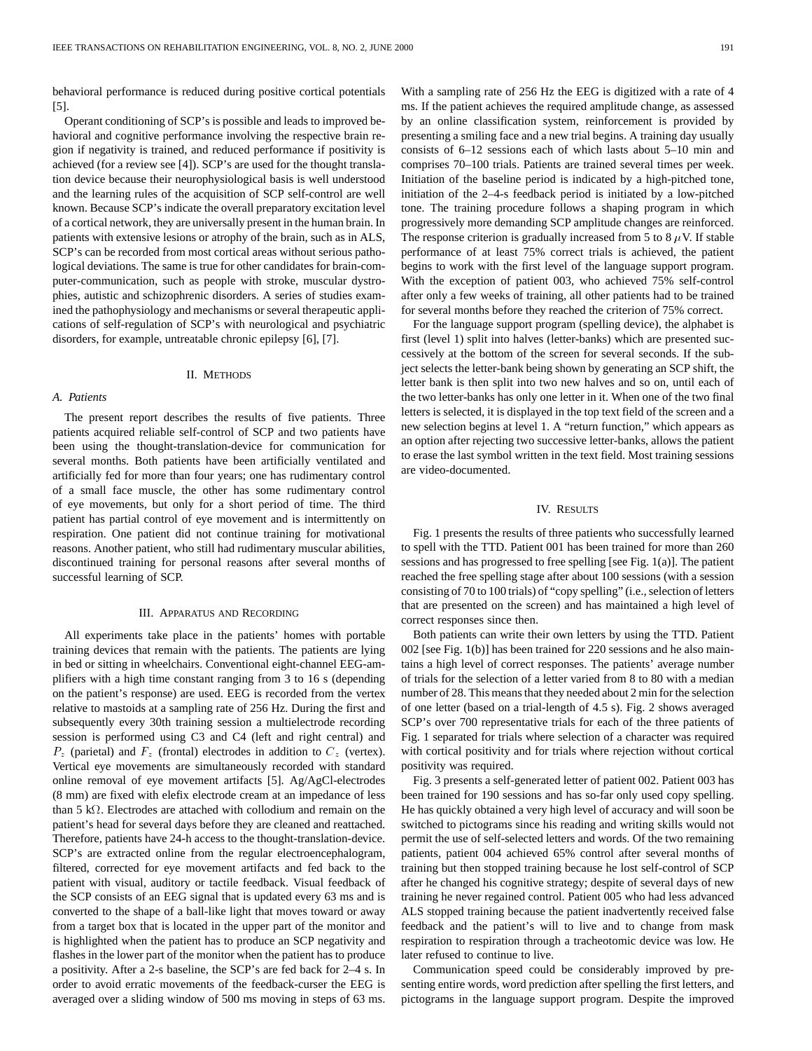behavioral performance is reduced during positive cortical potentials [5].

Operant conditioning of SCP's is possible and leads to improved behavioral and cognitive performance involving the respective brain region if negativity is trained, and reduced performance if positivity is achieved (for a review see [4]). SCP's are used for the thought translation device because their neurophysiological basis is well understood and the learning rules of the acquisition of SCP self-control are well known. Because SCP's indicate the overall preparatory excitation level of a cortical network, they are universally present in the human brain. In patients with extensive lesions or atrophy of the brain, such as in ALS, SCP's can be recorded from most cortical areas without serious pathological deviations. The same is true for other candidates for brain-computer-communication, such as people with stroke, muscular dystrophies, autistic and schizophrenic disorders. A series of studies examined the pathophysiology and mechanisms or several therapeutic applications of self-regulation of SCP's with neurological and psychiatric disorders, for example, untreatable chronic epilepsy [6], [7].

## II. METHODS

## *A. Patients*

The present report describes the results of five patients. Three patients acquired reliable self-control of SCP and two patients have been using the thought-translation-device for communication for several months. Both patients have been artificially ventilated and artificially fed for more than four years; one has rudimentary control of a small face muscle, the other has some rudimentary control of eye movements, but only for a short period of time. The third patient has partial control of eye movement and is intermittently on respiration. One patient did not continue training for motivational reasons. Another patient, who still had rudimentary muscular abilities, discontinued training for personal reasons after several months of successful learning of SCP.

### III. APPARATUS AND RECORDING

All experiments take place in the patients' homes with portable training devices that remain with the patients. The patients are lying in bed or sitting in wheelchairs. Conventional eight-channel EEG-amplifiers with a high time constant ranging from 3 to 16 s (depending on the patient's response) are used. EEG is recorded from the vertex relative to mastoids at a sampling rate of 256 Hz. During the first and subsequently every 30th training session a multielectrode recording session is performed using C3 and C4 (left and right central) and  $P<sub>z</sub>$  (parietal) and  $F<sub>z</sub>$  (frontal) electrodes in addition to  $C<sub>z</sub>$  (vertex). Vertical eye movements are simultaneously recorded with standard online removal of eye movement artifacts [5]. Ag/AgCl-electrodes (8 mm) are fixed with elefix electrode cream at an impedance of less than 5  $k\Omega$ . Electrodes are attached with collodium and remain on the patient's head for several days before they are cleaned and reattached. Therefore, patients have 24-h access to the thought-translation-device. SCP's are extracted online from the regular electroencephalogram, filtered, corrected for eye movement artifacts and fed back to the patient with visual, auditory or tactile feedback. Visual feedback of the SCP consists of an EEG signal that is updated every 63 ms and is converted to the shape of a ball-like light that moves toward or away from a target box that is located in the upper part of the monitor and is highlighted when the patient has to produce an SCP negativity and flashes in the lower part of the monitor when the patient has to produce a positivity. After a 2-s baseline, the SCP's are fed back for 2–4 s. In order to avoid erratic movements of the feedback-curser the EEG is averaged over a sliding window of 500 ms moving in steps of 63 ms. With a sampling rate of 256 Hz the EEG is digitized with a rate of 4 ms. If the patient achieves the required amplitude change, as assessed by an online classification system, reinforcement is provided by presenting a smiling face and a new trial begins. A training day usually consists of 6–12 sessions each of which lasts about 5–10 min and comprises 70–100 trials. Patients are trained several times per week. Initiation of the baseline period is indicated by a high-pitched tone, initiation of the 2–4-s feedback period is initiated by a low-pitched tone. The training procedure follows a shaping program in which progressively more demanding SCP amplitude changes are reinforced. The response criterion is gradually increased from 5 to 8  $\mu$ V. If stable performance of at least 75% correct trials is achieved, the patient begins to work with the first level of the language support program. With the exception of patient 003, who achieved 75% self-control after only a few weeks of training, all other patients had to be trained for several months before they reached the criterion of 75% correct.

For the language support program (spelling device), the alphabet is first (level 1) split into halves (letter-banks) which are presented successively at the bottom of the screen for several seconds. If the subject selects the letter-bank being shown by generating an SCP shift, the letter bank is then split into two new halves and so on, until each of the two letter-banks has only one letter in it. When one of the two final letters is selected, it is displayed in the top text field of the screen and a new selection begins at level 1. A "return function," which appears as an option after rejecting two successive letter-banks, allows the patient to erase the last symbol written in the text field. Most training sessions are video-documented.

## IV. RESULTS

Fig. 1 presents the results of three patients who successfully learned to spell with the TTD. Patient 001 has been trained for more than 260 sessions and has progressed to free spelling [see Fig. 1(a)]. The patient reached the free spelling stage after about 100 sessions (with a session consisting of 70 to 100 trials) of "copy spelling" (i.e., selection of letters that are presented on the screen) and has maintained a high level of correct responses since then.

Both patients can write their own letters by using the TTD. Patient 002 [see Fig. 1(b)] has been trained for 220 sessions and he also maintains a high level of correct responses. The patients' average number of trials for the selection of a letter varied from 8 to 80 with a median number of 28. This means that they needed about 2 min for the selection of one letter (based on a trial-length of 4.5 s). Fig. 2 shows averaged SCP's over 700 representative trials for each of the three patients of Fig. 1 separated for trials where selection of a character was required with cortical positivity and for trials where rejection without cortical positivity was required.

Fig. 3 presents a self-generated letter of patient 002. Patient 003 has been trained for 190 sessions and has so-far only used copy spelling. He has quickly obtained a very high level of accuracy and will soon be switched to pictograms since his reading and writing skills would not permit the use of self-selected letters and words. Of the two remaining patients, patient 004 achieved 65% control after several months of training but then stopped training because he lost self-control of SCP after he changed his cognitive strategy; despite of several days of new training he never regained control. Patient 005 who had less advanced ALS stopped training because the patient inadvertently received false feedback and the patient's will to live and to change from mask respiration to respiration through a tracheotomic device was low. He later refused to continue to live.

Communication speed could be considerably improved by presenting entire words, word prediction after spelling the first letters, and pictograms in the language support program. Despite the improved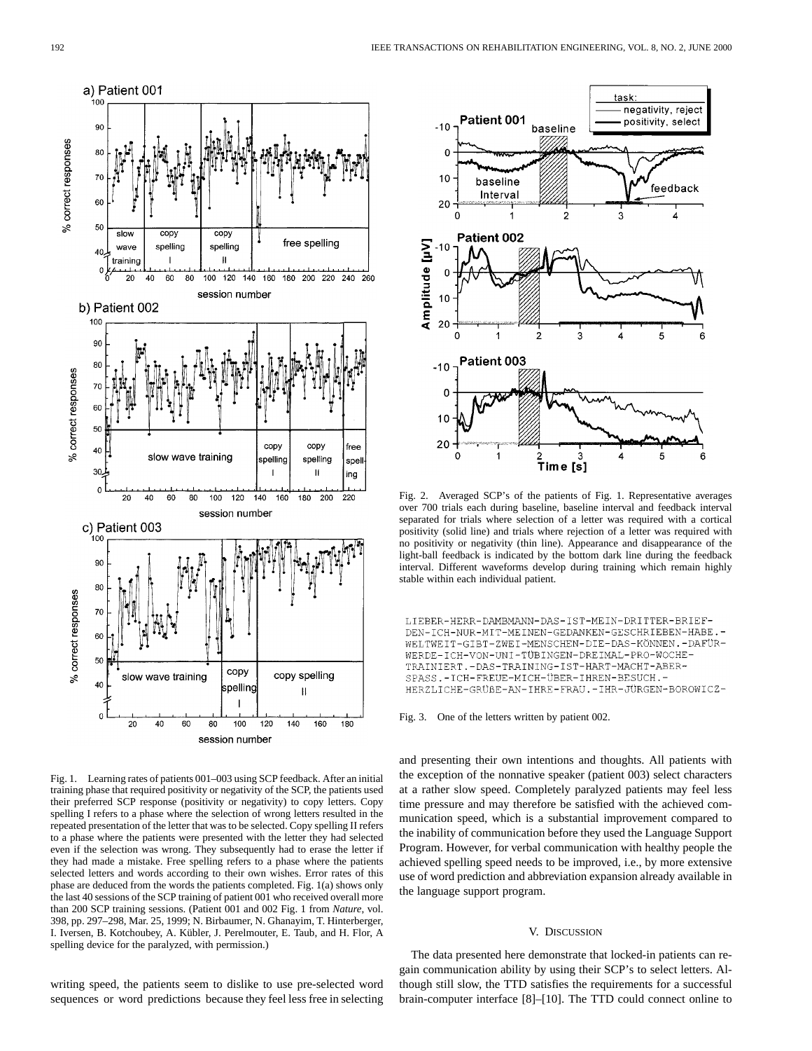

Fig. 1. Learning rates of patients 001–003 using SCP feedback. After an initial training phase that required positivity or negativity of the SCP, the patients used their preferred SCP response (positivity or negativity) to copy letters. Copy spelling I refers to a phase where the selection of wrong letters resulted in the repeated presentation of the letter that was to be selected. Copy spelling II refers to a phase where the patients were presented with the letter they had selected even if the selection was wrong. They subsequently had to erase the letter if they had made a mistake. Free spelling refers to a phase where the patients selected letters and words according to their own wishes. Error rates of this phase are deduced from the words the patients completed. Fig. 1(a) shows only the last 40 sessions of the SCP training of patient 001 who received overall more than 200 SCP training sessions. (Patient 001 and 002 Fig. 1 from *Nature*, vol. 398, pp. 297–298, Mar. 25, 1999; N. Birbaumer, N. Ghanayim, T. Hinterberger, I. Iversen, B. Kotchoubey, A. Kübler, J. Perelmouter, E. Taub, and H. Flor, A spelling device for the paralyzed, with permission.)

writing speed, the patients seem to dislike to use pre-selected word sequences or word predictions because they feel less free in selecting



Fig. 2. Averaged SCP's of the patients of Fig. 1. Representative averages over 700 trials each during baseline, baseline interval and feedback interval separated for trials where selection of a letter was required with a cortical positivity (solid line) and trials where rejection of a letter was required with no positivity or negativity (thin line). Appearance and disappearance of the light-ball feedback is indicated by the bottom dark line during the feedback interval. Different waveforms develop during training which remain highly stable within each individual patient.

```
LIEBER-HERR-DAMBMANN-DAS-IST-MEIN-DRITTER-BRIEF-
DEN-ICH-NUR-MIT-MEINEN-GEDANKEN-GESCHRIEBEN-HABE.-
WELTWEIT-GIBT-ZWEI-MENSCHEN-DIE-DAS-KÖNNEN.-DAFÜR-
WERDE-ICH-VON-UNI-TÜBINGEN-DREIMAL-PRO-WOCHE-
TRAINIERT.-DAS-TRAINING-IST-HART-MACHT-ABER-
SPASS.-ICH-FREUE-MICH-ÜBER-IHREN-BESUCH.-
HERZLICHE-GRÜßE-AN-IHRE-FRAU.-IHR-JÜRGEN-BOROWICZ-
```
Fig. 3. One of the letters written by patient 002.

and presenting their own intentions and thoughts. All patients with the exception of the nonnative speaker (patient 003) select characters at a rather slow speed. Completely paralyzed patients may feel less time pressure and may therefore be satisfied with the achieved communication speed, which is a substantial improvement compared to the inability of communication before they used the Language Support Program. However, for verbal communication with healthy people the achieved spelling speed needs to be improved, i.e., by more extensive use of word prediction and abbreviation expansion already available in the language support program.

### V. DISCUSSION

The data presented here demonstrate that locked-in patients can regain communication ability by using their SCP's to select letters. Although still slow, the TTD satisfies the requirements for a successful brain-computer interface [8]–[10]. The TTD could connect online to